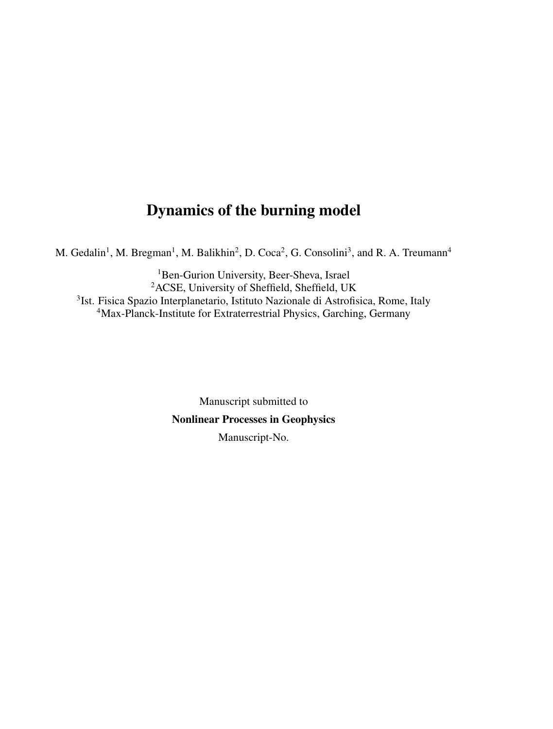# Dynamics of the burning model

M. Gedalin<sup>1</sup>, M. Bregman<sup>1</sup>, M. Balikhin<sup>2</sup>, D. Coca<sup>2</sup>, G. Consolini<sup>3</sup>, and R. A. Treumann<sup>4</sup>

<sup>1</sup>Ben-Gurion University, Beer-Sheva, Israel ACSE, University of Sheffield, Sheffield, UK Ist. Fisica Spazio Interplanetario, Istituto Nazionale di Astrofisica, Rome, Italy Max-Planck-Institute for Extraterrestrial Physics, Garching, Germany

> Manuscript submitted to Nonlinear Processes in Geophysics Manuscript-No.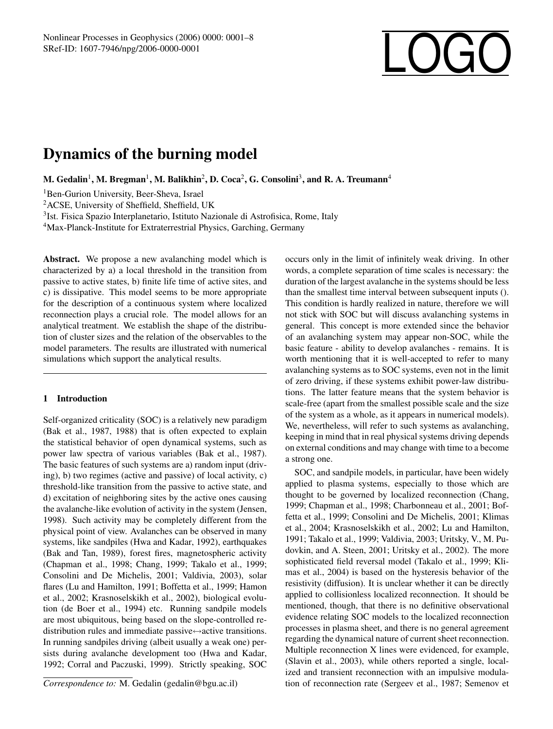# SRef-ID: 1607-7946/npg/2006-0000-0001

# Dynamics of the burning model

M. Gedalin $^1$ , M. Bregman $^1$ , M. Balikhin $^2$ , D. Coca $^2$ , G. Consolini $^3$ , and R. A. Treumann $^4$ 

<sup>1</sup>Ben-Gurion University, Beer-Sheva, Israel

<sup>2</sup>ACSE, University of Sheffield, Sheffield, UK

3 Ist. Fisica Spazio Interplanetario, Istituto Nazionale di Astrofisica, Rome, Italy

<sup>4</sup>Max-Planck-Institute for Extraterrestrial Physics, Garching, Germany

Abstract. We propose a new avalanching model which is characterized by a) a local threshold in the transition from passive to active states, b) finite life time of active sites, and c) is dissipative. This model seems to be more appropriate for the description of a continuous system where localized reconnection plays a crucial role. The model allows for an analytical treatment. We establish the shape of the distribution of cluster sizes and the relation of the observables to the model parameters. The results are illustrated with numerical simulations which support the analytical results.

# 1 Introduction

Self-organized criticality (SOC) is a relatively new paradigm (Bak et al., 1987, 1988) that is often expected to explain the statistical behavior of open dynamical systems, such as power law spectra of various variables (Bak et al., 1987). The basic features of such systems are a) random input (driving), b) two regimes (active and passive) of local activity, c) threshold-like transition from the passive to active state, and d) excitation of neighboring sites by the active ones causing the avalanche-like evolution of activity in the system (Jensen, 1998). Such activity may be completely different from the physical point of view. Avalanches can be observed in many systems, like sandpiles (Hwa and Kadar, 1992), earthquakes (Bak and Tan, 1989), forest fires, magnetospheric activity (Chapman et al., 1998; Chang, 1999; Takalo et al., 1999; Consolini and De Michelis, 2001; Valdivia, 2003), solar flares (Lu and Hamilton, 1991; Boffetta et al., 1999; Hamon et al., 2002; Krasnoselskikh et al., 2002), biological evolution (de Boer et al., 1994) etc. Running sandpile models are most ubiquitous, being based on the slope-controlled redistribution rules and immediate passive $\leftrightarrow$ active transitions. In running sandpiles driving (albeit usually a weak one) persists during avalanche development too (Hwa and Kadar, 1992; Corral and Paczuski, 1999). Strictly speaking, SOC

*Correspondence to:* M. Gedalin (gedalin@bgu.ac.il)

occurs only in the limit of infinitely weak driving. In other words, a complete separation of time scales is necessary: the duration of the largest avalanche in the systems should be less than the smallest time interval between subsequent inputs (). This condition is hardly realized in nature, therefore we will not stick with SOC but will discuss avalanching systems in general. This concept is more extended since the behavior of an avalanching system may appear non-SOC, while the basic feature - ability to develop avalanches - remains. It is worth mentioning that it is well-accepted to refer to many avalanching systems as to SOC systems, even not in the limit of zero driving, if these systems exhibit power-law distributions. The latter feature means that the system behavior is scale-free (apart from the smallest possible scale and the size of the system as a whole, as it appears in numerical models). We, nevertheless, will refer to such systems as avalanching, keeping in mind that in real physical systems driving depends on external conditions and may change with time to a become a strong one.

SOC, and sandpile models, in particular, have been widely applied to plasma systems, especially to those which are thought to be governed by localized reconnection (Chang, 1999; Chapman et al., 1998; Charbonneau et al., 2001; Boffetta et al., 1999; Consolini and De Michelis, 2001; Klimas et al., 2004; Krasnoselskikh et al., 2002; Lu and Hamilton, 1991; Takalo et al., 1999; Valdivia, 2003; Uritsky, V., M. Pudovkin, and A. Steen, 2001; Uritsky et al., 2002). The more sophisticated field reversal model (Takalo et al., 1999; Klimas et al., 2004) is based on the hysteresis behavior of the resistivity (diffusion). It is unclear whether it can be directly applied to collisionless localized reconnection. It should be mentioned, though, that there is no definitive observational evidence relating SOC models to the localized reconnection processes in plasma sheet, and there is no general agreement regarding the dynamical nature of current sheet reconnection. Multiple reconnection X lines were evidenced, for example, (Slavin et al., 2003), while others reported a single, localized and transient reconnection with an impulsive modulation of reconnection rate (Sergeev et al., 1987; Semenov et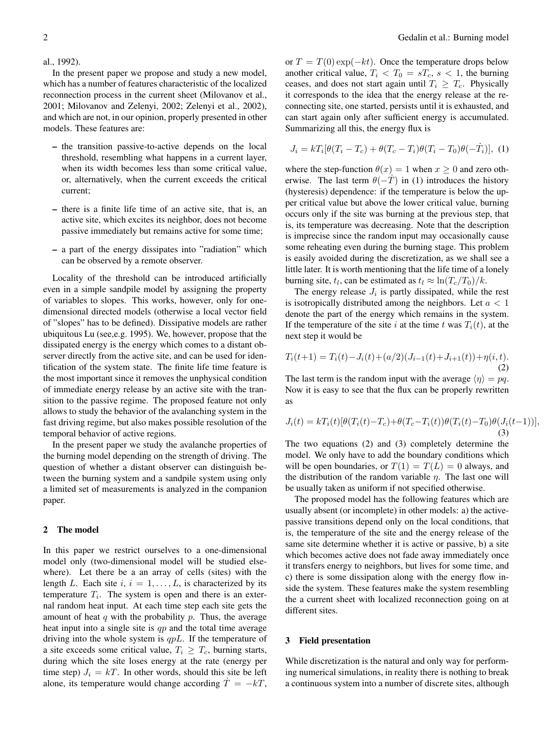al., 1992).

In the present paper we propose and study a new model, which has a number of features characteristic of the localized reconnection process in the current sheet (Milovanov et al., 2001; Milovanov and Zelenyi, 2002; Zelenyi et al., 2002), and which are not, in our opinion, properly presented in other models. These features are:

- the transition passive-to-active depends on the local threshold, resembling what happens in a current layer, when its width becomes less than some critical value, or, alternatively, when the current exceeds the critical current;
- there is a finite life time of an active site, that is, an active site, which excites its neighbor, does not become passive immediately but remains active for some time;
- a part of the energy dissipates into "radiation" which can be observed by a remote observer.

Locality of the threshold can be introduced artificially even in a simple sandpile model by assigning the property of variables to slopes. This works, however, only for onedimensional directed models (otherwise a local vector field of "slopes" has to be defined). Dissipative models are rather ubiquitous Lu (see,e.g. 1995). We, however, propose that the dissipated energy is the energy which comes to a distant observer directly from the active site, and can be used for identification of the system state. The finite life time feature is the most important since it removes the unphysical condition of immediate energy release by an active site with the transition to the passive regime. The proposed feature not only allows to study the behavior of the avalanching system in the fast driving regime, but also makes possible resolution of the temporal behavior of active regions.

In the present paper we study the avalanche properties of the burning model depending on the strength of driving. The question of whether a distant observer can distinguish between the burning system and a sandpile system using only a limited set of measurements is analyzed in the companion paper.

## 2 The model

In this paper we restrict ourselves to a one-dimensional model only (two-dimensional model will be studied elsewhere). Let there be a an array of cells (sites) with the length L. Each site  $i, i = 1, \ldots, L$ , is characterized by its temperature  $T_i$ . The system is open and there is an external random heat input. At each time step each site gets the amount of heat q with the probability  $p$ . Thus, the average heat input into a single site is  $qp$  and the total time average driving into the whole system is  $qpL$ . If the temperature of a site exceeds some critical value,  $T_i \geq T_c$ , burning starts, during which the site loses energy at the rate (energy per time step)  $J_i = kT$ . In other words, should this site be left alone, its temperature would change according  $\dot{T} = -kT$ ,

or  $T = T(0) \exp(-kt)$ . Once the temperature drops below another critical value,  $T_i < T_0 = sT_c$ ,  $s < 1$ , the burning ceases, and does not start again until  $T_i \geq T_c$ . Physically it corresponds to the idea that the energy release at the reconnecting site, one started, persists until it is exhausted, and can start again only after sufficient energy is accumulated. Summarizing all this, the energy flux is

$$
J_i = kT_i[\theta(T_i - T_c) + \theta(T_c - T_i)\theta(T_i - T_0)\theta(-\dot{T}_i)],
$$
 (1)

where the step-function  $\theta(x) = 1$  when  $x \ge 0$  and zero otherwise. The last term  $\theta(-T)$  in (1) introduces the history (hysteresis) dependence: if the temperature is below the upper critical value but above the lower critical value, burning occurs only if the site was burning at the previous step, that is, its temperature was decreasing. Note that the description is imprecise since the random input may occasionally cause some reheating even during the burning stage. This problem is easily avoided during the discretization, as we shall see a little later. It is worth mentioning that the life time of a lonely burning site,  $t_l$ , can be estimated as  $t_l \approx \ln(T_c/T_0)/k$ .

The energy release  $J_i$  is partly dissipated, while the rest is isotropically distributed among the neighbors. Let  $a < 1$ denote the part of the energy which remains in the system. If the temperature of the site i at the time t was  $T_i(t)$ , at the next step it would be

$$
T_i(t+1) = T_i(t) - J_i(t) + (a/2)(J_{i-1}(t) + J_{i+1}(t)) + \eta(i, t).
$$
\n(2)

The last term is the random input with the average  $\langle \eta \rangle = pq$ . Now it is easy to see that the flux can be properly rewritten as

$$
J_i(t) = kT_i(t)[\theta(T_i(t) - T_c) + \theta(T_c - T_i(t))\theta(T_i(t) - T_0)\theta(J_i(t-1))],
$$
\n(3)

The two equations (2) and (3) completely determine the model. We only have to add the boundary conditions which will be open boundaries, or  $T(1) = T(L) = 0$  always, and the distribution of the random variable  $\eta$ . The last one will be usually taken as uniform if not specified otherwise.

The proposed model has the following features which are usually absent (or incomplete) in other models: a) the activepassive transitions depend only on the local conditions, that is, the temperature of the site and the energy release of the same site determine whether it is active or passive, b) a site which becomes active does not fade away immediately once it transfers energy to neighbors, but lives for some time, and c) there is some dissipation along with the energy flow inside the system. These features make the system resembling the a current sheet with localized reconnection going on at different sites.

#### 3 Field presentation

While discretization is the natural and only way for performing numerical simulations, in reality there is nothing to break a continuous system into a number of discrete sites, although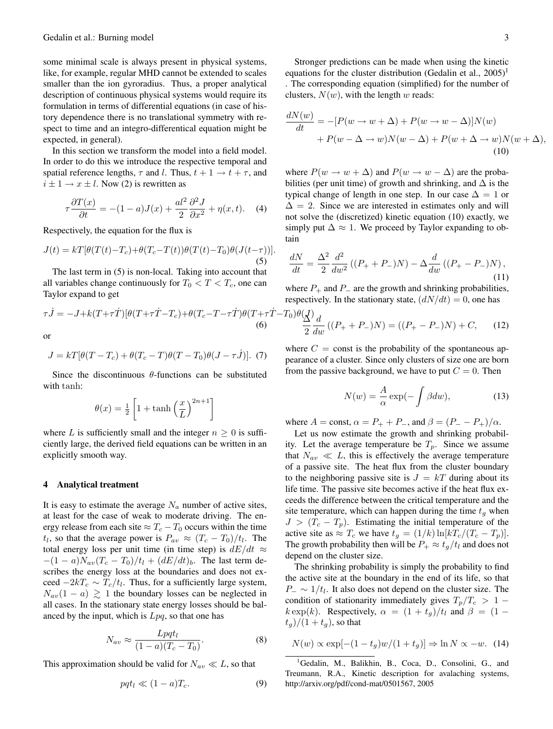some minimal scale is always present in physical systems, like, for example, regular MHD cannot be extended to scales smaller than the ion gyroradius. Thus, a proper analytical description of continuous physical systems would require its formulation in terms of differential equations (in case of history dependence there is no translational symmetry with respect to time and an integro-differentical equation might be expected, in general).

In this section we transform the model into a field model. In order to do this we introduce the respective temporal and spatial reference lengths,  $\tau$  and l. Thus,  $t + 1 \rightarrow t + \tau$ , and  $i \pm 1 \rightarrow x \pm l$ . Now (2) is rewritten as

$$
\tau \frac{\partial T(x)}{\partial t} = -(1-a)J(x) + \frac{al^2}{2} \frac{\partial^2 J}{\partial x^2} + \eta(x, t). \quad (4)
$$

Respectively, the equation for the flux is

$$
J(t) = kT[\theta(T(t)-T_c) + \theta(T_c - T(t))\theta(T(t)-T_0)\theta(J(t-\tau))].
$$
\n(5)

The last term in (5) is non-local. Taking into account that all variables change continuously for  $T_0 < T < T_c$ , one can Taylor expand to get

$$
\tau \dot{J} = -J + k(T + \tau \dot{T})[\theta(T + \tau \dot{T} - T_c) + \theta(T_c - T - \tau \dot{T})\theta(T + \tau \dot{T} - T_0)\theta(\underline{X})
$$
  
(6) (6)

$$
\theta
$$

$$
J = kT[\theta(T - T_c) + \theta(T_c - T)\theta(T - T_0)\theta(J - \tau \dot{J})].
$$
 (7)

Since the discontinuous  $\theta$ -functions can be substituted with tanh:

$$
\theta(x) = \frac{1}{2} \left[ 1 + \tanh\left(\frac{x}{L}\right)^{2n+1} \right]
$$

where L is sufficiently small and the integer  $n \geq 0$  is sufficiently large, the derived field equations can be written in an explicitly smooth way.

#### 4 Analytical treatment

It is easy to estimate the average  $N_a$  number of active sites, at least for the case of weak to moderate driving. The energy release from each site  $\approx T_c - T_0$  occurs within the time  $t_l$ , so that the average power is  $P_{av} \approx (T_c - T_0)/t_l$ . The total energy loss per unit time (in time step) is  $dE/dt \approx$  $-(1-a)N_{av}(T_c-T_0)/t_l + (dE/dt)_b$ . The last term describes the energy loss at the boundaries and does not exceed  $-2kT_c \sim T_c/t_l$ . Thus, for a sufficiently large system,  $N_{av}(1 - a) \geq 1$  the boundary losses can be neglected in all cases. In the stationary state energy losses should be balanced by the input, which is  $Lpq$ , so that one has

$$
N_{av} \approx \frac{Lpqt_l}{(1-a)(T_c - T_0)}.\tag{8}
$$

This approximation should be valid for  $N_{av} \ll L$ , so that

$$
pqt_l \ll (1-a)T_c.
$$
 (9)

Stronger predictions can be made when using the kinetic equations for the cluster distribution (Gedalin et al.,  $2005$ )<sup>1</sup> . The corresponding equation (simplified) for the number of clusters,  $N(w)$ , with the length w reads:

$$
\frac{dN(w)}{dt} = -[P(w \to w + \Delta) + P(w \to w - \Delta)]N(w) \n+ P(w - \Delta \to w)N(w - \Delta) + P(w + \Delta \to w)N(w + \Delta),
$$
\n(10)

where  $P(w \to w + \Delta)$  and  $P(w \to w - \Delta)$  are the probabilities (per unit time) of growth and shrinking, and  $\Delta$  is the typical change of length in one step. In our case  $\Delta = 1$  or  $\Delta = 2$ . Since we are interested in estimates only and will not solve the (discretized) kinetic equation (10) exactly, we simply put  $\Delta \approx 1$ . We proceed by Taylor expanding to obtain

$$
\frac{dN}{dt} = \frac{\Delta^2}{2} \frac{d^2}{dw^2} \left( (P_+ + P_-) N \right) - \Delta \frac{d}{dw} \left( (P_+ - P_-) N \right),\tag{11}
$$

where  $P_+$  and  $P_-$  are the growth and shrinking probabilities, respectively. In the stationary state,  $\left(\frac{dN}{dt}\right) = 0$ , one has

$$
-T_0 \frac{\partial \theta(\underline{X})}{\partial dw} \left( (P_+ + P_-) N \right) = \left( (P_+ - P_-) N \right) + C, \qquad (12)
$$

where  $C = \text{const}$  is the probability of the spontaneous appearance of a cluster. Since only clusters of size one are born from the passive background, we have to put  $C = 0$ . Then

$$
N(w) = \frac{A}{\alpha} \exp(-\int \beta dw), \tag{13}
$$

where  $A = \text{const}, \alpha = P_+ + P_-$ , and  $\beta = (P_- - P_+)/\alpha$ .

Let us now estimate the growth and shrinking probability. Let the average temperature be  $T_p$ . Since we assume that  $N_{av} \ll L$ , this is effectively the average temperature of a passive site. The heat flux from the cluster boundary to the neighboring passive site is  $J = kT$  during about its life time. The passive site becomes active if the heat flux exceeds the difference between the critical temperature and the site temperature, which can happen during the time  $t_q$  when  $J > (T_c - T_p)$ . Estimating the initial temperature of the active site as  $\approx T_c$  we have  $t_q = (1/k) \ln[kT_c/(T_c - T_p)]$ . The growth probability then will be  $P_+ \approx t_g/t_l$  and does not depend on the cluster size.

The shrinking probability is simply the probability to find the active site at the boundary in the end of its life, so that  $P_-\sim 1/t_l$ . It also does not depend on the cluster size. The condition of stationarity immediately gives  $T_p/T_c > 1$  –  $k \exp(k)$ . Respectively,  $\alpha = (1 + t_q)/t_l$  and  $\beta = (1 (t_q)/(1 + t_q)$ , so that

$$
N(w) \propto \exp[-(1 - t_g)w/(1 + t_g)] \Rightarrow \ln N \propto -w. \tag{14}
$$

<sup>1</sup>Gedalin, M., Balikhin, B., Coca, D., Consolini, G., and Treumann, R.A., Kinetic description for avalaching systems, http://arxiv.org/pdf/cond-mat/0501567, 2005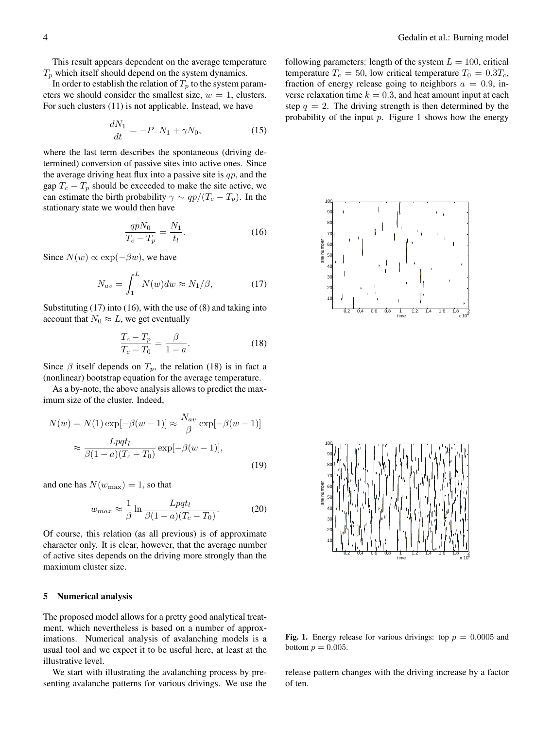This result appears dependent on the average temperature  $T_p$  which itself should depend on the system dynamics.

In order to establish the relation of  $T_p$  to the system parameters we should consider the smallest size,  $w = 1$ , clusters. For such clusters (11) is not applicable. Instead, we have

$$
\frac{dN_1}{dt} = -P_-N_1 + \gamma N_0,\tag{15}
$$

where the last term describes the spontaneous (driving determined) conversion of passive sites into active ones. Since the average driving heat flux into a passive site is  $qp$ , and the gap  $T_c - T_p$  should be exceeded to make the site active, we can estimate the birth probability  $\gamma \sim qp/(T_c - T_p)$ . In the stationary state we would then have

$$
\frac{qpN_0}{T_c - T_p} = \frac{N_1}{t_l}.
$$
\n(16)

Since  $N(w) \propto \exp(-\beta w)$ , we have

$$
N_{av} = \int_{1}^{L} N(w)dw \approx N_{1}/\beta,
$$
 (17)

Substituting (17) into (16), with the use of (8) and taking into account that  $N_0 \approx L$ , we get eventually

$$
\frac{T_c - T_p}{T_c - T_0} = \frac{\beta}{1 - a}.
$$
\n(18)

Since  $\beta$  itself depends on  $T_p$ , the relation (18) is in fact a (nonlinear) bootstrap equation for the average temperature.

As a by-note, the above analysis allows to predict the maximum size of the cluster. Indeed,

$$
N(w) = N(1) \exp[-\beta(w-1)] \approx \frac{N_{av}}{\beta} \exp[-\beta(w-1)]
$$

$$
\approx \frac{Lpqt_l}{\beta(1-a)(T_c - T_0)} \exp[-\beta(w-1)],
$$
(19)

and one has  $N(w_{\text{max}}) = 1$ , so that

$$
w_{max} \approx \frac{1}{\beta} \ln \frac{Lpqt_l}{\beta(1-a)(T_c - T_0)}.
$$
 (20)

Of course, this relation (as all previous) is of approximate character only. It is clear, however, that the average number of active sites depends on the driving more strongly than the maximum cluster size.

## 5 Numerical analysis

The proposed model allows for a pretty good analytical treatment, which nevertheless is based on a number of approximations. Numerical analysis of avalanching models is a usual tool and we expect it to be useful here, at least at the illustrative level.

We start with illustrating the avalanching process by presenting avalanche patterns for various drivings. We use the

following parameters: length of the system  $L = 100$ , critical temperature  $T_c = 50$ , low critical temperature  $T_0 = 0.3T_c$ , fraction of energy release going to neighbors  $a = 0.9$ , inverse relaxation time  $k = 0.3$ , and heat amount input at each step  $q = 2$ . The driving strength is then determined by the probability of the input  $p$ . Figure 1 shows how the energy



Fig. 1. Energy release for various drivings: top  $p = 0.0005$  and bottom  $p = 0.005$ .

release pattern changes with the driving increase by a factor of ten.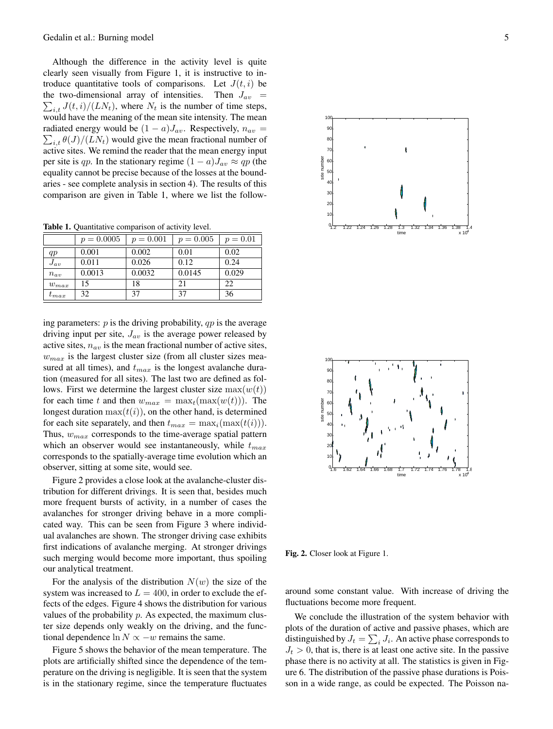Although the difference in the activity level is quite clearly seen visually from Figure 1, it is instructive to introduce quantitative tools of comparisons. Let  $J(t, i)$  be the two-dimensional array of intensities. Then  $J_{av}$  =  $\sum_{i,t} J(t,i)/(LN_t)$ , where  $N_t$  is the number of time steps, would have the meaning of the mean site intensity. The mean radiated energy would be  $(1 - a)J_{av}$ . Respectively,  $n_{av} =$  $\sum_{i,t} \theta(J)/(LN_t)$  would give the mean fractional number of active sites. We remind the reader that the mean energy input per site is qp. In the stationary regime  $(1 - a)J_{av} \approx qp$  (the equality cannot be precise because of the losses at the boundaries - see complete analysis in section 4). The results of this comparison are given in Table 1, where we list the follow-

Table 1. Quantitative comparison of activity level.

|           | $p = 0.0005$ | $p = 0.001$ | $p = 0.005$ | $p = 0.01$ |
|-----------|--------------|-------------|-------------|------------|
| qp        | 0.001        | 0.002       | 0.01        | 0.02       |
| $J_{av}$  | 0.011        | 0.026       | 0.12        | 0.24       |
| $n_{av}$  | 0.0013       | 0.0032      | 0.0145      | 0.029      |
| $w_{max}$ | 15           | 18          | 21          | 22         |
| $t_{max}$ | 32           | 37          | 37          | 36         |

ing parameters:  $p$  is the driving probability,  $qp$  is the average driving input per site,  $J_{av}$  is the average power released by active sites,  $n_{av}$  is the mean fractional number of active sites,  $w_{max}$  is the largest cluster size (from all cluster sizes measured at all times), and  $t_{max}$  is the longest avalanche duration (measured for all sites). The last two are defined as follows. First we determine the largest cluster size  $max(w(t))$ for each time t and then  $w_{max} = \max_t (\max(w(t)))$ . The longest duration  $\max(t(i))$ , on the other hand, is determined for each site separately, and then  $t_{max} = \max_i(\max(t(i))).$ Thus,  $w_{max}$  corresponds to the time-average spatial pattern which an observer would see instantaneously, while  $t_{max}$ corresponds to the spatially-average time evolution which an observer, sitting at some site, would see.

Figure 2 provides a close look at the avalanche-cluster distribution for different drivings. It is seen that, besides much more frequent bursts of activity, in a number of cases the avalanches for stronger driving behave in a more complicated way. This can be seen from Figure 3 where individual avalanches are shown. The stronger driving case exhibits first indications of avalanche merging. At stronger drivings such merging would become more important, thus spoiling our analytical treatment.

For the analysis of the distribution  $N(w)$  the size of the system was increased to  $L = 400$ , in order to exclude the effects of the edges. Figure 4 shows the distribution for various values of the probability  $p$ . As expected, the maximum cluster size depends only weakly on the driving, and the functional dependence  $\ln N \propto -w$  remains the same.

Figure 5 shows the behavior of the mean temperature. The plots are artificially shifted since the dependence of the temperature on the driving is negligible. It is seen that the system is in the stationary regime, since the temperature fluctuates





Fig. 2. Closer look at Figure 1.

around some constant value. With increase of driving the fluctuations become more frequent.

We conclude the illustration of the system behavior with plots of the duration of active and passive phases, which are distinguished by  $J_t = \sum_i J_i$ . An active phase corresponds to  $J_t > 0$ , that is, there is at least one active site. In the passive phase there is no activity at all. The statistics is given in Figure 6. The distribution of the passive phase durations is Poisson in a wide range, as could be expected. The Poisson na-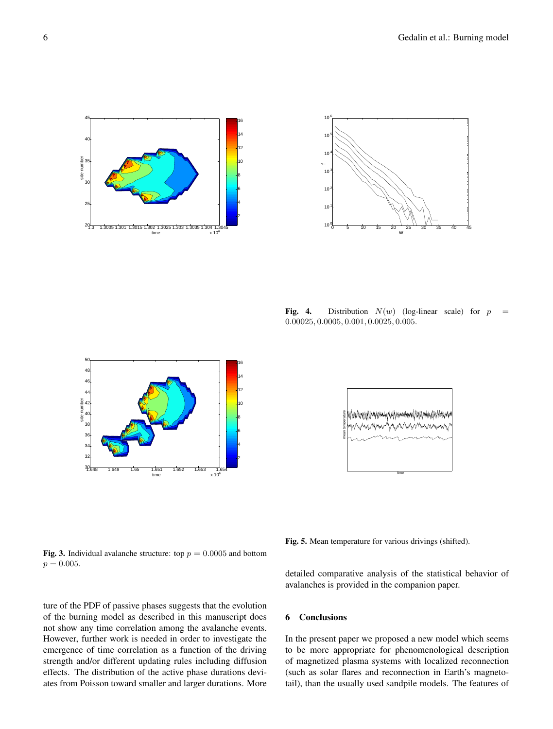



Fig. 4. Distribution  $N(w)$  (log-linear scale) for  $p =$ 0.00025, 0.0005, 0.001, 0.0025, 0.005.



time mean temperature

Fig. 3. Individual avalanche structure: top  $p = 0.0005$  and bottom  $p = 0.005$ .

ture of the PDF of passive phases suggests that the evolution of the burning model as described in this manuscript does not show any time correlation among the avalanche events. However, further work is needed in order to investigate the emergence of time correlation as a function of the driving strength and/or different updating rules including diffusion effects. The distribution of the active phase durations deviates from Poisson toward smaller and larger durations. More

Fig. 5. Mean temperature for various drivings (shifted).

detailed comparative analysis of the statistical behavior of avalanches is provided in the companion paper.

# 6 Conclusions

In the present paper we proposed a new model which seems to be more appropriate for phenomenological description of magnetized plasma systems with localized reconnection (such as solar flares and reconnection in Earth's magnetotail), than the usually used sandpile models. The features of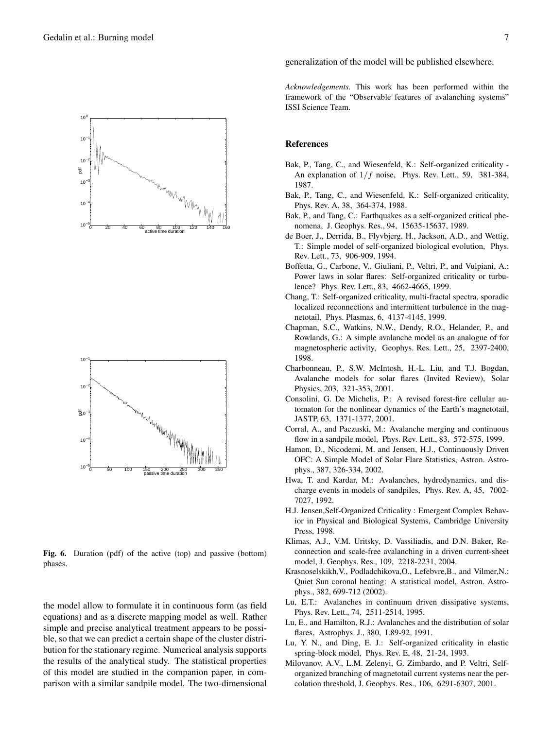



Fig. 6. Duration (pdf) of the active (top) and passive (bottom) phases.

the model allow to formulate it in continuous form (as field equations) and as a discrete mapping model as well. Rather simple and precise analytical treatment appears to be possible, so that we can predict a certain shape of the cluster distribution for the stationary regime. Numerical analysis supports the results of the analytical study. The statistical properties of this model are studied in the companion paper, in comparison with a similar sandpile model. The two-dimensional generalization of the model will be published elsewhere.

*Acknowledgements.* This work has been performed within the framework of the "Observable features of avalanching systems" ISSI Science Team.

## References

- Bak, P., Tang, C., and Wiesenfeld, K.: Self-organized criticality An explanation of  $1/f$  noise, Phys. Rev. Lett., 59, 381-384, 1987.
- Bak, P., Tang, C., and Wiesenfeld, K.: Self-organized criticality, Phys. Rev. A, 38, 364-374, 1988.
- Bak, P., and Tang, C.: Earthquakes as a self-organized critical phenomena, J. Geophys. Res., 94, 15635-15637, 1989.
- de Boer, J., Derrida, B., Flyvbjerg, H., Jackson, A.D., and Wettig, T.: Simple model of self-organized biological evolution, Phys. Rev. Lett., 73, 906-909, 1994.
- Boffetta, G., Carbone, V., Giuliani, P., Veltri, P., and Vulpiani, A.: Power laws in solar flares: Self-organized criticality or turbulence? Phys. Rev. Lett., 83, 4662-4665, 1999.
- Chang, T.: Self-organized criticality, multi-fractal spectra, sporadic localized reconnections and intermittent turbulence in the magnetotail, Phys. Plasmas, 6, 4137-4145, 1999.
- Chapman, S.C., Watkins, N.W., Dendy, R.O., Helander, P., and Rowlands, G.: A simple avalanche model as an analogue of for magnetospheric activity, Geophys. Res. Lett., 25, 2397-2400, 1998.
- Charbonneau, P., S.W. McIntosh, H.-L. Liu, and T.J. Bogdan, Avalanche models for solar flares (Invited Review), Solar Physics, 203, 321-353, 2001.
- Consolini, G. De Michelis, P.: A revised forest-fire cellular automaton for the nonlinear dynamics of the Earth's magnetotail, JASTP, 63, 1371-1377, 2001.
- Corral, A., and Paczuski, M.: Avalanche merging and continuous flow in a sandpile model, Phys. Rev. Lett., 83, 572-575, 1999.
- Hamon, D., Nicodemi, M. and Jensen, H.J., Continuously Driven OFC: A Simple Model of Solar Flare Statistics, Astron. Astrophys., 387, 326-334, 2002.
- Hwa, T. and Kardar, M.: Avalanches, hydrodynamics, and discharge events in models of sandpiles, Phys. Rev. A, 45, 7002- 7027, 1992.
- H.J. Jensen,Self-Organized Criticality : Emergent Complex Behavior in Physical and Biological Systems, Cambridge University Press, 1998.
- Klimas, A.J., V.M. Uritsky, D. Vassiliadis, and D.N. Baker, Reconnection and scale-free avalanching in a driven current-sheet model, J. Geophys. Res., 109, 2218-2231, 2004.
- Krasnoselskikh,V., Podladchikova,O., Lefebvre,B., and Vilmer,N.: Quiet Sun coronal heating: A statistical model, Astron. Astrophys., 382, 699-712 (2002).
- Lu, E.T.: Avalanches in continuum driven dissipative systems, Phys. Rev. Lett., 74, 2511-2514, 1995.
- Lu, E., and Hamilton, R.J.: Avalanches and the distribution of solar flares, Astrophys. J., 380, L89-92, 1991.
- Lu, Y. N., and Ding, E. J.: Self-organized criticality in elastic spring-block model, Phys. Rev. E, 48, 21-24, 1993.
- Milovanov, A.V., L.M. Zelenyi, G. Zimbardo, and P. Veltri, Selforganized branching of magnetotail current systems near the percolation threshold, J. Geophys. Res., 106, 6291-6307, 2001.